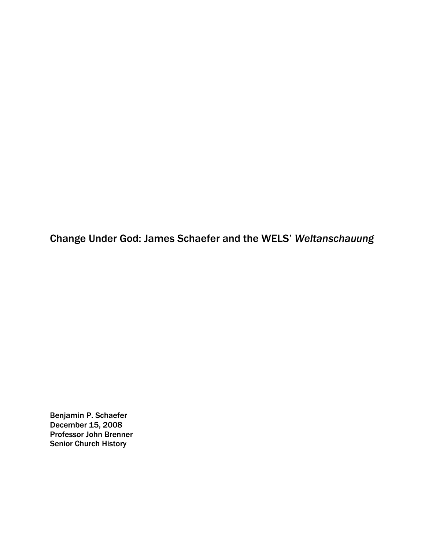Change Under God: James Schaefer and the WELS' *Weltanschauung*

Benjamin P. Schaefer December 15, 2008 Professor John Brenner Senior Church History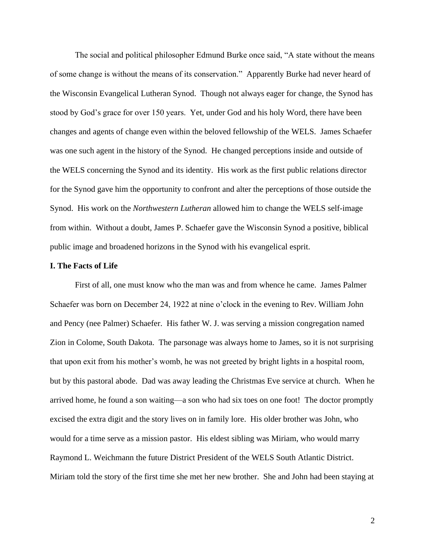The social and political philosopher Edmund Burke once said, "A state without the means of some change is without the means of its conservation." Apparently Burke had never heard of the Wisconsin Evangelical Lutheran Synod. Though not always eager for change, the Synod has stood by God's grace for over 150 years. Yet, under God and his holy Word, there have been changes and agents of change even within the beloved fellowship of the WELS. James Schaefer was one such agent in the history of the Synod. He changed perceptions inside and outside of the WELS concerning the Synod and its identity. His work as the first public relations director for the Synod gave him the opportunity to confront and alter the perceptions of those outside the Synod. His work on the *Northwestern Lutheran* allowed him to change the WELS self-image from within. Without a doubt, James P. Schaefer gave the Wisconsin Synod a positive, biblical public image and broadened horizons in the Synod with his evangelical esprit.

### **I. The Facts of Life**

First of all, one must know who the man was and from whence he came. James Palmer Schaefer was born on December 24, 1922 at nine o'clock in the evening to Rev. William John and Pency (nee Palmer) Schaefer. His father W. J. was serving a mission congregation named Zion in Colome, South Dakota. The parsonage was always home to James, so it is not surprising that upon exit from his mother's womb, he was not greeted by bright lights in a hospital room, but by this pastoral abode. Dad was away leading the Christmas Eve service at church. When he arrived home, he found a son waiting—a son who had six toes on one foot! The doctor promptly excised the extra digit and the story lives on in family lore. His older brother was John, who would for a time serve as a mission pastor. His eldest sibling was Miriam, who would marry Raymond L. Weichmann the future District President of the WELS South Atlantic District. Miriam told the story of the first time she met her new brother. She and John had been staying at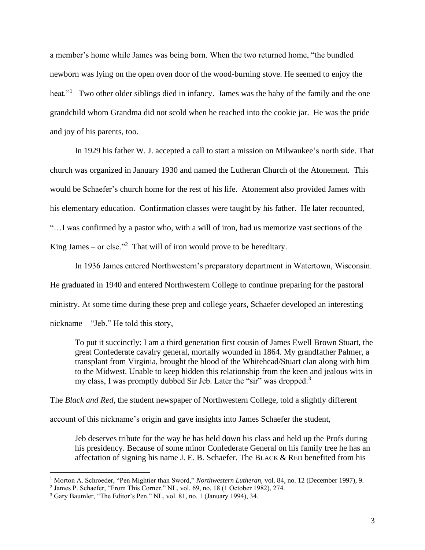a member's home while James was being born. When the two returned home, "the bundled newborn was lying on the open oven door of the wood-burning stove. He seemed to enjoy the heat."<sup>1</sup> Two other older siblings died in infancy. James was the baby of the family and the one grandchild whom Grandma did not scold when he reached into the cookie jar. He was the pride and joy of his parents, too.

In 1929 his father W. J. accepted a call to start a mission on Milwaukee's north side. That church was organized in January 1930 and named the Lutheran Church of the Atonement. This would be Schaefer's church home for the rest of his life. Atonement also provided James with his elementary education. Confirmation classes were taught by his father. He later recounted, "…I was confirmed by a pastor who, with a will of iron, had us memorize vast sections of the King James – or else."<sup>2</sup> That will of iron would prove to be hereditary.

In 1936 James entered Northwestern's preparatory department in Watertown, Wisconsin. He graduated in 1940 and entered Northwestern College to continue preparing for the pastoral ministry. At some time during these prep and college years, Schaefer developed an interesting nickname—"Jeb." He told this story,

To put it succinctly: I am a third generation first cousin of James Ewell Brown Stuart, the great Confederate cavalry general, mortally wounded in 1864. My grandfather Palmer, a transplant from Virginia, brought the blood of the Whitehead/Stuart clan along with him to the Midwest. Unable to keep hidden this relationship from the keen and jealous wits in my class, I was promptly dubbed Sir Jeb. Later the "sir" was dropped.<sup>3</sup>

The *Black and Red*, the student newspaper of Northwestern College, told a slightly different

account of this nickname's origin and gave insights into James Schaefer the student,

Jeb deserves tribute for the way he has held down his class and held up the Profs during his presidency. Because of some minor Confederate General on his family tree he has an affectation of signing his name J. E. B. Schaefer. The BLACK & RED benefited from his

<sup>1</sup> Morton A. Schroeder, "Pen Mightier than Sword," *Northwestern Lutheran,* vol. 84, no. 12 (December 1997), 9.

<sup>2</sup> James P. Schaefer, "From This Corner." NL, vol. 69, no. 18 (1 October 1982), 274.

<sup>3</sup> Gary Baumler, "The Editor's Pen." NL, vol. 81, no. 1 (January 1994), 34.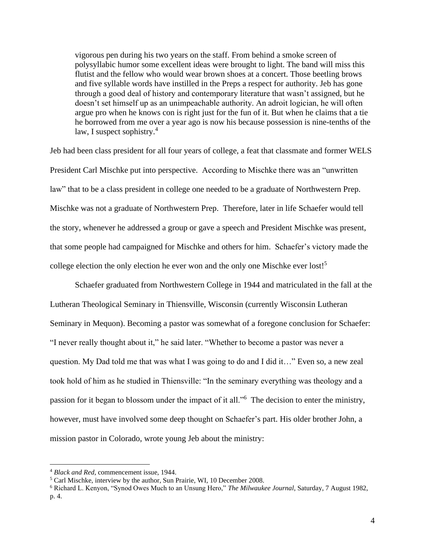vigorous pen during his two years on the staff. From behind a smoke screen of polysyllabic humor some excellent ideas were brought to light. The band will miss this flutist and the fellow who would wear brown shoes at a concert. Those beetling brows and five syllable words have instilled in the Preps a respect for authority. Jeb has gone through a good deal of history and contemporary literature that wasn't assigned, but he doesn't set himself up as an unimpeachable authority. An adroit logician, he will often argue pro when he knows con is right just for the fun of it. But when he claims that a tie he borrowed from me over a year ago is now his because possession is nine-tenths of the law, I suspect sophistry.<sup>4</sup>

Jeb had been class president for all four years of college, a feat that classmate and former WELS President Carl Mischke put into perspective. According to Mischke there was an "unwritten law" that to be a class president in college one needed to be a graduate of Northwestern Prep. Mischke was not a graduate of Northwestern Prep. Therefore, later in life Schaefer would tell the story, whenever he addressed a group or gave a speech and President Mischke was present, that some people had campaigned for Mischke and others for him. Schaefer's victory made the college election the only election he ever won and the only one Mischke ever lost!<sup>5</sup>

Schaefer graduated from Northwestern College in 1944 and matriculated in the fall at the Lutheran Theological Seminary in Thiensville, Wisconsin (currently Wisconsin Lutheran Seminary in Mequon). Becoming a pastor was somewhat of a foregone conclusion for Schaefer: "I never really thought about it," he said later. "Whether to become a pastor was never a question. My Dad told me that was what I was going to do and I did it…" Even so, a new zeal took hold of him as he studied in Thiensville: "In the seminary everything was theology and a passion for it began to blossom under the impact of it all."<sup>6</sup> The decision to enter the ministry, however, must have involved some deep thought on Schaefer's part. His older brother John, a mission pastor in Colorado, wrote young Jeb about the ministry:

<sup>4</sup> *Black and Red*, commencement issue, 1944.

<sup>5</sup> Carl Mischke, interview by the author, Sun Prairie, WI, 10 December 2008.

<sup>6</sup> Richard L. Kenyon, "Synod Owes Much to an Unsung Hero," *The Milwaukee Journal*, Saturday, 7 August 1982, p. 4.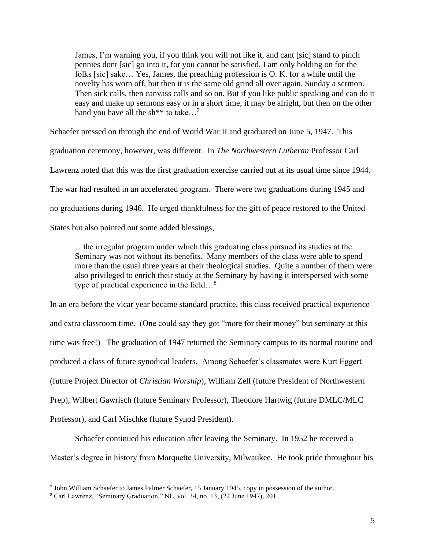James, I'm warning you, if you think you will not like it, and cant [sic] stand to pinch pennies dont [sic] go into it, for you cannot be satisfied. I am only holding on for the folks [sic] sake… Yes, James, the preaching profession is O. K. for a while until the novelty has worn off, but then it is the same old grind all over again. Sunday a sermon. Then sick calls, then canvass calls and so on. But if you like public speaking and can do it easy and make up sermons easy or in a short time, it may be alright, but then on the other hand you have all the sh<sup>\*\*</sup> to take...<sup>7</sup>

Schaefer pressed on through the end of World War II and graduated on June 5, 1947. This

graduation ceremony, however, was different. In *The Northwestern Lutheran* Professor Carl Lawrenz noted that this was the first graduation exercise carried out at its usual time since 1944. The war had resulted in an accelerated program. There were two graduations during 1945 and no graduations during 1946. He urged thankfulness for the gift of peace restored to the United States but also pointed out some added blessings,

…the irregular program under which this graduating class pursued its studies at the Seminary was not without its benefits. Many members of the class were able to spend more than the usual three years at their theological studies. Quite a number of them were also privileged to enrich their study at the Seminary by having it interspersed with some type of practical experience in the field...<sup>8</sup>

In an era before the vicar year became standard practice, this class received practical experience and extra classroom time. (One could say they got "more for their money" but seminary at this time was free!) The graduation of 1947 returned the Seminary campus to its normal routine and produced a class of future synodical leaders. Among Schaefer's classmates were Kurt Eggert (future Project Director of *Christian Worship*), William Zell (future President of Northwestern Prep), Wilbert Gawrisch (future Seminary Professor), Theodore Hartwig (future DMLC/MLC Professor), and Carl Mischke (future Synod President).

Schaefer continued his education after leaving the Seminary. In 1952 he received a Master's degree in history from Marquette University, Milwaukee. He took pride throughout his

<sup>7</sup> John William Schaefer to James Palmer Schaefer, 15 January 1945, copy in possession of the author.

<sup>8</sup> Carl Lawrenz, "Seminary Graduation," NL, vol. 34, no. 13, (22 June 1947), 201.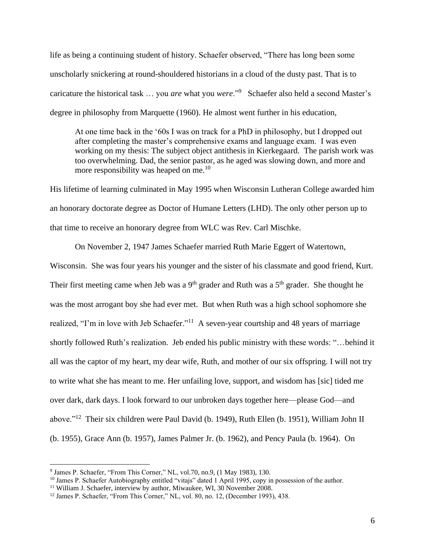life as being a continuing student of history. Schaefer observed, "There has long been some unscholarly snickering at round-shouldered historians in a cloud of the dusty past. That is to caricature the historical task … you *are* what you *were*."<sup>9</sup> Schaefer also held a second Master's degree in philosophy from Marquette (1960). He almost went further in his education,

At one time back in the '60s I was on track for a PhD in philosophy, but I dropped out after completing the master's comprehensive exams and language exam. I was even working on my thesis: The subject object antithesis in Kierkegaard. The parish work was too overwhelming. Dad, the senior pastor, as he aged was slowing down, and more and more responsibility was heaped on me. $^{10}$ 

His lifetime of learning culminated in May 1995 when Wisconsin Lutheran College awarded him an honorary doctorate degree as Doctor of Humane Letters (LHD). The only other person up to that time to receive an honorary degree from WLC was Rev. Carl Mischke.

On November 2, 1947 James Schaefer married Ruth Marie Eggert of Watertown, Wisconsin. She was four years his younger and the sister of his classmate and good friend, Kurt. Their first meeting came when Jeb was a  $9<sup>th</sup>$  grader and Ruth was a  $5<sup>th</sup>$  grader. She thought he was the most arrogant boy she had ever met. But when Ruth was a high school sophomore she realized, "I'm in love with Jeb Schaefer."<sup>11</sup> A seven-year courtship and 48 years of marriage shortly followed Ruth's realization. Jeb ended his public ministry with these words: "…behind it all was the captor of my heart, my dear wife, Ruth, and mother of our six offspring. I will not try to write what she has meant to me. Her unfailing love, support, and wisdom has [sic] tided me over dark, dark days. I look forward to our unbroken days together here—please God—and above."<sup>12</sup> Their six children were Paul David (b. 1949), Ruth Ellen (b. 1951), William John II (b. 1955), Grace Ann (b. 1957), James Palmer Jr. (b. 1962), and Pency Paula (b. 1964). On

<sup>&</sup>lt;sup>9</sup> James P. Schaefer, "From This Corner," NL, vol.70, no.9, (1 May 1983), 130.

<sup>&</sup>lt;sup>10</sup> James P. Schaefer Autobiography entitled "vitajs" dated 1 April 1995, copy in possession of the author.

<sup>&</sup>lt;sup>11</sup> William J. Schaefer, interview by author, Miwaukee, WI, 30 November 2008.

<sup>&</sup>lt;sup>12</sup> James P. Schaefer, "From This Corner," NL, vol. 80, no. 12, (December 1993), 438.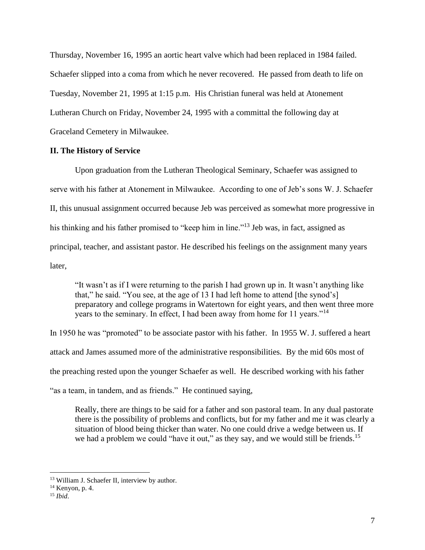Thursday, November 16, 1995 an aortic heart valve which had been replaced in 1984 failed. Schaefer slipped into a coma from which he never recovered. He passed from death to life on Tuesday, November 21, 1995 at 1:15 p.m. His Christian funeral was held at Atonement Lutheran Church on Friday, November 24, 1995 with a committal the following day at Graceland Cemetery in Milwaukee.

# **II. The History of Service**

Upon graduation from the Lutheran Theological Seminary, Schaefer was assigned to serve with his father at Atonement in Milwaukee. According to one of Jeb's sons W. J. Schaefer II, this unusual assignment occurred because Jeb was perceived as somewhat more progressive in his thinking and his father promised to "keep him in line."<sup>13</sup> Jeb was, in fact, assigned as principal, teacher, and assistant pastor. He described his feelings on the assignment many years later,

"It wasn't as if I were returning to the parish I had grown up in. It wasn't anything like that," he said. "You see, at the age of 13 I had left home to attend [the synod's] preparatory and college programs in Watertown for eight years, and then went three more years to the seminary. In effect, I had been away from home for 11 years."<sup>14</sup>

In 1950 he was "promoted" to be associate pastor with his father. In 1955 W. J. suffered a heart attack and James assumed more of the administrative responsibilities. By the mid 60s most of the preaching rested upon the younger Schaefer as well. He described working with his father "as a team, in tandem, and as friends." He continued saying,

Really, there are things to be said for a father and son pastoral team. In any dual pastorate there is the possibility of problems and conflicts, but for my father and me it was clearly a situation of blood being thicker than water. No one could drive a wedge between us. If we had a problem we could "have it out," as they say, and we would still be friends.<sup>15</sup>

<sup>&</sup>lt;sup>13</sup> William J. Schaefer II, interview by author.

 $14$  Kenyon, p. 4.

<sup>15</sup> *Ibid*.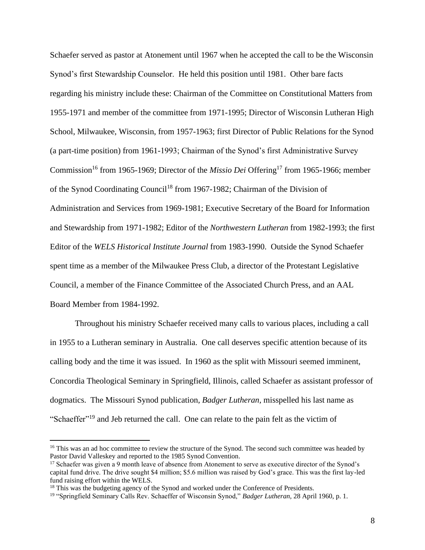Schaefer served as pastor at Atonement until 1967 when he accepted the call to be the Wisconsin Synod's first Stewardship Counselor. He held this position until 1981. Other bare facts regarding his ministry include these: Chairman of the Committee on Constitutional Matters from 1955-1971 and member of the committee from 1971-1995; Director of Wisconsin Lutheran High School, Milwaukee, Wisconsin, from 1957-1963; first Director of Public Relations for the Synod (a part-time position) from 1961-1993; Chairman of the Synod's first Administrative Survey Commission<sup>16</sup> from 1965-1969; Director of the *Missio Dei* Offering<sup>17</sup> from 1965-1966; member of the Synod Coordinating Council<sup>18</sup> from 1967-1982; Chairman of the Division of Administration and Services from 1969-1981; Executive Secretary of the Board for Information and Stewardship from 1971-1982; Editor of the *Northwestern Lutheran* from 1982-1993; the first Editor of the *WELS Historical Institute Journal* from 1983-1990. Outside the Synod Schaefer spent time as a member of the Milwaukee Press Club, a director of the Protestant Legislative Council, a member of the Finance Committee of the Associated Church Press, and an AAL Board Member from 1984-1992.

Throughout his ministry Schaefer received many calls to various places, including a call in 1955 to a Lutheran seminary in Australia. One call deserves specific attention because of its calling body and the time it was issued. In 1960 as the split with Missouri seemed imminent, Concordia Theological Seminary in Springfield, Illinois, called Schaefer as assistant professor of dogmatics. The Missouri Synod publication, *Badger Lutheran,* misspelled his last name as "Schaeffer"<sup>19</sup> and Jeb returned the call. One can relate to the pain felt as the victim of

<sup>&</sup>lt;sup>16</sup> This was an ad hoc committee to review the structure of the Synod. The second such committee was headed by Pastor David Valleskey and reported to the 1985 Synod Convention.

<sup>&</sup>lt;sup>17</sup> Schaefer was given a 9 month leave of absence from Atonement to serve as executive director of the Synod's capital fund drive. The drive sought \$4 million; \$5.6 million was raised by God's grace. This was the first lay-led fund raising effort within the WELS.

<sup>&</sup>lt;sup>18</sup> This was the budgeting agency of the Synod and worked under the Conference of Presidents.

<sup>19</sup> "Springfield Seminary Calls Rev. Schaeffer of Wisconsin Synod," *Badger Lutheran*, 28 April 1960, p. 1.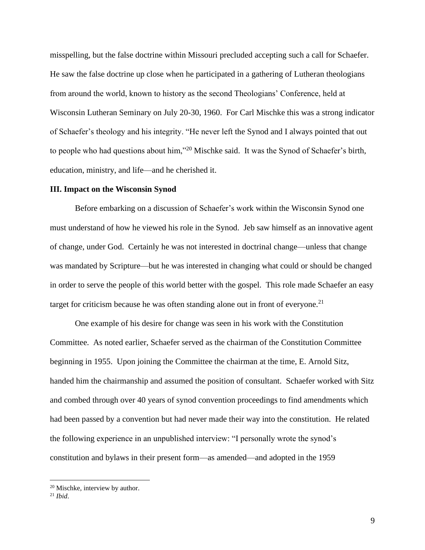misspelling, but the false doctrine within Missouri precluded accepting such a call for Schaefer. He saw the false doctrine up close when he participated in a gathering of Lutheran theologians from around the world, known to history as the second Theologians' Conference, held at Wisconsin Lutheran Seminary on July 20-30, 1960. For Carl Mischke this was a strong indicator of Schaefer's theology and his integrity. "He never left the Synod and I always pointed that out to people who had questions about him,"<sup>20</sup> Mischke said. It was the Synod of Schaefer's birth, education, ministry, and life—and he cherished it.

#### **III. Impact on the Wisconsin Synod**

Before embarking on a discussion of Schaefer's work within the Wisconsin Synod one must understand of how he viewed his role in the Synod. Jeb saw himself as an innovative agent of change, under God. Certainly he was not interested in doctrinal change—unless that change was mandated by Scripture—but he was interested in changing what could or should be changed in order to serve the people of this world better with the gospel. This role made Schaefer an easy target for criticism because he was often standing alone out in front of everyone.<sup>21</sup>

One example of his desire for change was seen in his work with the Constitution Committee. As noted earlier, Schaefer served as the chairman of the Constitution Committee beginning in 1955. Upon joining the Committee the chairman at the time, E. Arnold Sitz, handed him the chairmanship and assumed the position of consultant. Schaefer worked with Sitz and combed through over 40 years of synod convention proceedings to find amendments which had been passed by a convention but had never made their way into the constitution. He related the following experience in an unpublished interview: "I personally wrote the synod's constitution and bylaws in their present form—as amended—and adopted in the 1959

<sup>&</sup>lt;sup>20</sup> Mischke, interview by author.

<sup>21</sup> *Ibid*.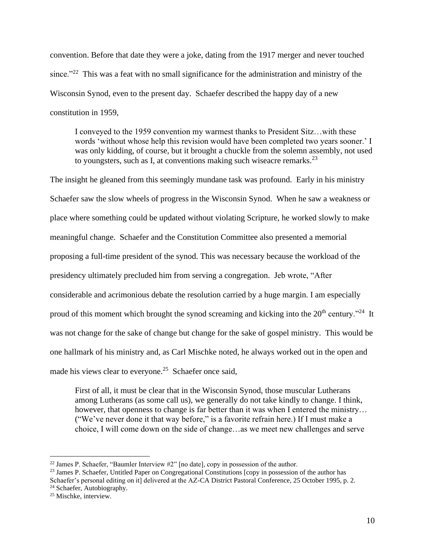convention. Before that date they were a joke, dating from the 1917 merger and never touched since."<sup>22</sup> This was a feat with no small significance for the administration and ministry of the Wisconsin Synod, even to the present day. Schaefer described the happy day of a new constitution in 1959,

I conveyed to the 1959 convention my warmest thanks to President Sitz…with these words 'without whose help this revision would have been completed two years sooner.' I was only kidding, of course, but it brought a chuckle from the solemn assembly, not used to youngsters, such as I, at conventions making such wiseacre remarks.  $^{23}$ 

The insight he gleaned from this seemingly mundane task was profound. Early in his ministry Schaefer saw the slow wheels of progress in the Wisconsin Synod. When he saw a weakness or place where something could be updated without violating Scripture, he worked slowly to make meaningful change. Schaefer and the Constitution Committee also presented a memorial proposing a full-time president of the synod. This was necessary because the workload of the presidency ultimately precluded him from serving a congregation. Jeb wrote, "After considerable and acrimonious debate the resolution carried by a huge margin. I am especially proud of this moment which brought the synod screaming and kicking into the  $20<sup>th</sup>$  century."<sup>24</sup> It was not change for the sake of change but change for the sake of gospel ministry. This would be one hallmark of his ministry and, as Carl Mischke noted, he always worked out in the open and made his views clear to everyone.<sup>25</sup> Schaefer once said,

First of all, it must be clear that in the Wisconsin Synod, those muscular Lutherans among Lutherans (as some call us), we generally do not take kindly to change. I think, however, that openness to change is far better than it was when I entered the ministry... ("We've never done it that way before," is a favorite refrain here.) If I must make a choice, I will come down on the side of change…as we meet new challenges and serve

<sup>24</sup> Schaefer, Autobiography.

 $22$  James P. Schaefer, "Baumler Interview  $#2"$  [no date], copy in possession of the author.

<sup>&</sup>lt;sup>23</sup> James P. Schaefer, Untitled Paper on Congregational Constitutions [copy in possession of the author has

Schaefer's personal editing on it] delivered at the AZ-CA District Pastoral Conference, 25 October 1995, p. 2.

<sup>&</sup>lt;sup>25</sup> Mischke, interview.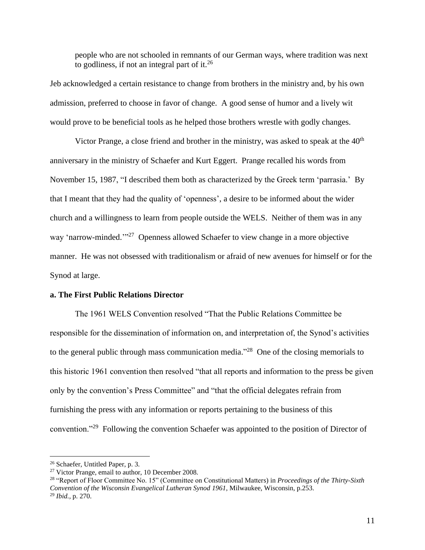people who are not schooled in remnants of our German ways, where tradition was next to godliness, if not an integral part of it. $^{26}$ 

Jeb acknowledged a certain resistance to change from brothers in the ministry and, by his own admission, preferred to choose in favor of change. A good sense of humor and a lively wit would prove to be beneficial tools as he helped those brothers wrestle with godly changes.

Victor Prange, a close friend and brother in the ministry, was asked to speak at the  $40<sup>th</sup>$ anniversary in the ministry of Schaefer and Kurt Eggert. Prange recalled his words from November 15, 1987, "I described them both as characterized by the Greek term 'parrasia.' By that I meant that they had the quality of 'openness', a desire to be informed about the wider church and a willingness to learn from people outside the WELS. Neither of them was in any way 'narrow-minded."<sup>27</sup> Openness allowed Schaefer to view change in a more objective manner. He was not obsessed with traditionalism or afraid of new avenues for himself or for the Synod at large.

# **a. The First Public Relations Director**

The 1961 WELS Convention resolved "That the Public Relations Committee be responsible for the dissemination of information on, and interpretation of, the Synod's activities to the general public through mass communication media.<sup> $28$ </sup> One of the closing memorials to this historic 1961 convention then resolved "that all reports and information to the press be given only by the convention's Press Committee" and "that the official delegates refrain from furnishing the press with any information or reports pertaining to the business of this convention."<sup>29</sup> Following the convention Schaefer was appointed to the position of Director of

<sup>26</sup> Schaefer, Untitled Paper, p. 3.

<sup>&</sup>lt;sup>27</sup> Victor Prange, email to author, 10 December 2008.

<sup>28</sup> "Report of Floor Committee No. 15" (Committee on Constitutional Matters) in *Proceedings of the Thirty-Sixth Convention of the Wisconsin Evangelical Lutheran Synod 1961,* Milwaukee, Wisconsin, p.253. <sup>29</sup> *Ibid.,* p. 270.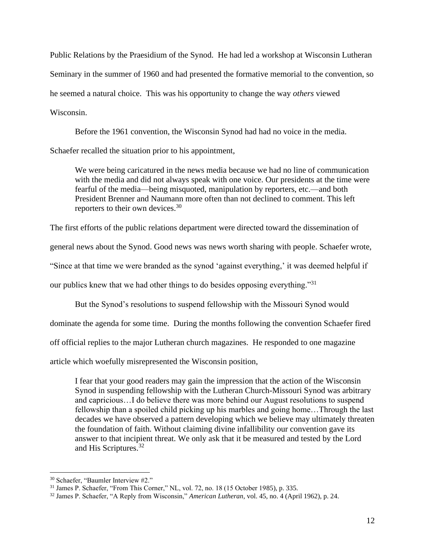Public Relations by the Praesidium of the Synod. He had led a workshop at Wisconsin Lutheran Seminary in the summer of 1960 and had presented the formative memorial to the convention, so he seemed a natural choice. This was his opportunity to change the way *others* viewed Wisconsin.

Before the 1961 convention, the Wisconsin Synod had had no voice in the media. Schaefer recalled the situation prior to his appointment,

We were being caricatured in the news media because we had no line of communication with the media and did not always speak with one voice. Our presidents at the time were fearful of the media—being misquoted, manipulation by reporters, etc.—and both President Brenner and Naumann more often than not declined to comment. This left reporters to their own devices.<sup>30</sup>

The first efforts of the public relations department were directed toward the dissemination of

general news about the Synod. Good news was news worth sharing with people. Schaefer wrote,

"Since at that time we were branded as the synod 'against everything,' it was deemed helpful if

our publics knew that we had other things to do besides opposing everything."<sup>31</sup>

But the Synod's resolutions to suspend fellowship with the Missouri Synod would dominate the agenda for some time. During the months following the convention Schaefer fired off official replies to the major Lutheran church magazines. He responded to one magazine

article which woefully misrepresented the Wisconsin position,

I fear that your good readers may gain the impression that the action of the Wisconsin Synod in suspending fellowship with the Lutheran Church-Missouri Synod was arbitrary and capricious…I do believe there was more behind our August resolutions to suspend fellowship than a spoiled child picking up his marbles and going home…Through the last decades we have observed a pattern developing which we believe may ultimately threaten the foundation of faith. Without claiming divine infallibility our convention gave its answer to that incipient threat. We only ask that it be measured and tested by the Lord and His Scriptures.<sup>32</sup>

<sup>30</sup> Schaefer, "Baumler Interview #2."

<sup>31</sup> James P. Schaefer, "From This Corner," NL, vol. 72, no. 18 (15 October 1985), p. 335.

<sup>32</sup> James P. Schaefer, "A Reply from Wisconsin," *American Lutheran*, vol. 45, no. 4 (April 1962), p. 24.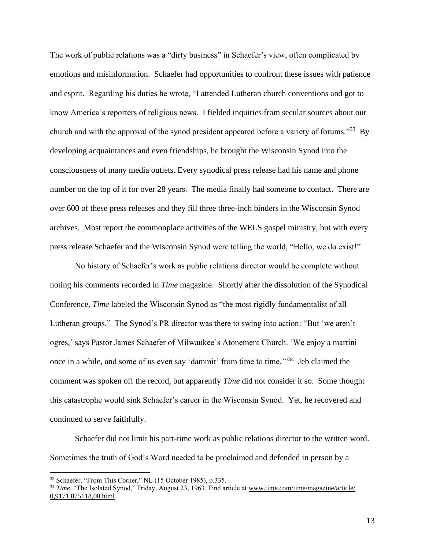The work of public relations was a "dirty business" in Schaefer's view, often complicated by emotions and misinformation. Schaefer had opportunities to confront these issues with patience and esprit. Regarding his duties he wrote, "I attended Lutheran church conventions and got to know America's reporters of religious news. I fielded inquiries from secular sources about our church and with the approval of the synod president appeared before a variety of forums."<sup>33</sup> By developing acquaintances and even friendships, he brought the Wisconsin Synod into the consciousness of many media outlets. Every synodical press release had his name and phone number on the top of it for over 28 years. The media finally had someone to contact. There are over 600 of these press releases and they fill three three-inch binders in the Wisconsin Synod archives. Most report the commonplace activities of the WELS gospel ministry, but with every press release Schaefer and the Wisconsin Synod were telling the world, "Hello, we do exist!"

No history of Schaefer's work as public relations director would be complete without noting his comments recorded in *Time* magazine. Shortly after the dissolution of the Synodical Conference, *Time* labeled the Wisconsin Synod as "the most rigidly fundamentalist of all Lutheran groups." The Synod's PR director was there to swing into action: "But 'we aren't ogres,' says Pastor James Schaefer of Milwaukee's Atonement Church. 'We enjoy a martini once in a while, and some of us even say 'dammit' from time to time.'"<sup>34</sup> Jeb claimed the comment was spoken off the record, but apparently *Time* did not consider it so. Some thought this catastrophe would sink Schaefer's career in the Wisconsin Synod. Yet, he recovered and continued to serve faithfully.

Schaefer did not limit his part-time work as public relations director to the written word. Sometimes the truth of God's Word needed to be proclaimed and defended in person by a

<sup>33</sup> Schaefer, "From This Corner," NL (15 October 1985), p.335.

<sup>&</sup>lt;sup>34</sup> *Time,* "The Isolated Synod," Friday, August 23, 1963. Find article at www.time.com/time/magazine/article/ 0,9171,875118,00.html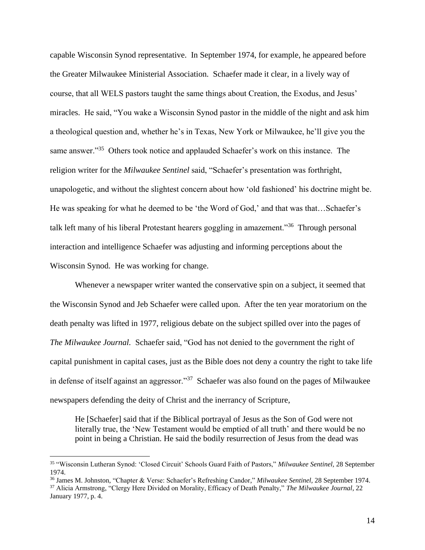capable Wisconsin Synod representative. In September 1974, for example, he appeared before the Greater Milwaukee Ministerial Association. Schaefer made it clear, in a lively way of course, that all WELS pastors taught the same things about Creation, the Exodus, and Jesus' miracles. He said, "You wake a Wisconsin Synod pastor in the middle of the night and ask him a theological question and, whether he's in Texas, New York or Milwaukee, he'll give you the same answer."<sup>35</sup> Others took notice and applauded Schaefer's work on this instance. The religion writer for the *Milwaukee Sentinel* said, "Schaefer's presentation was forthright, unapologetic, and without the slightest concern about how 'old fashioned' his doctrine might be. He was speaking for what he deemed to be 'the Word of God,' and that was that…Schaefer's talk left many of his liberal Protestant hearers goggling in amazement."<sup>36</sup> Through personal interaction and intelligence Schaefer was adjusting and informing perceptions about the Wisconsin Synod. He was working for change.

Whenever a newspaper writer wanted the conservative spin on a subject, it seemed that the Wisconsin Synod and Jeb Schaefer were called upon. After the ten year moratorium on the death penalty was lifted in 1977, religious debate on the subject spilled over into the pages of *The Milwaukee Journal.* Schaefer said, "God has not denied to the government the right of capital punishment in capital cases, just as the Bible does not deny a country the right to take life in defense of itself against an aggressor."<sup>37</sup> Schaefer was also found on the pages of Milwaukee newspapers defending the deity of Christ and the inerrancy of Scripture,

He [Schaefer] said that if the Biblical portrayal of Jesus as the Son of God were not literally true, the 'New Testament would be emptied of all truth' and there would be no point in being a Christian. He said the bodily resurrection of Jesus from the dead was

<sup>35</sup> "Wisconsin Lutheran Synod: 'Closed Circuit' Schools Guard Faith of Pastors," *Milwaukee Sentinel,* 28 September 1974.

<sup>36</sup> James M. Johnston, "Chapter & Verse: Schaefer's Refreshing Candor," *Milwaukee Sentinel,* 28 September 1974.

<sup>37</sup> Alicia Armstrong, "Clergy Here Divided on Morality, Efficacy of Death Penalty," *The Milwaukee Journal*, 22 January 1977, p. 4.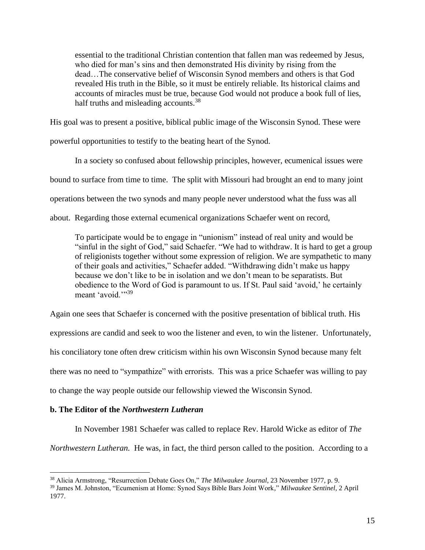essential to the traditional Christian contention that fallen man was redeemed by Jesus, who died for man's sins and then demonstrated His divinity by rising from the dead…The conservative belief of Wisconsin Synod members and others is that God revealed His truth in the Bible, so it must be entirely reliable. Its historical claims and accounts of miracles must be true, because God would not produce a book full of lies, half truths and misleading accounts.<sup>38</sup>

His goal was to present a positive, biblical public image of the Wisconsin Synod. These were

powerful opportunities to testify to the beating heart of the Synod.

In a society so confused about fellowship principles, however, ecumenical issues were bound to surface from time to time. The split with Missouri had brought an end to many joint operations between the two synods and many people never understood what the fuss was all about. Regarding those external ecumenical organizations Schaefer went on record,

To participate would be to engage in "unionism" instead of real unity and would be "sinful in the sight of God," said Schaefer. "We had to withdraw. It is hard to get a group of religionists together without some expression of religion. We are sympathetic to many of their goals and activities," Schaefer added. "Withdrawing didn't make us happy because we don't like to be in isolation and we don't mean to be separatists. But obedience to the Word of God is paramount to us. If St. Paul said 'avoid,' he certainly meant 'avoid."<sup>39</sup>

Again one sees that Schaefer is concerned with the positive presentation of biblical truth. His

expressions are candid and seek to woo the listener and even, to win the listener. Unfortunately,

his conciliatory tone often drew criticism within his own Wisconsin Synod because many felt

there was no need to "sympathize" with errorists. This was a price Schaefer was willing to pay

to change the way people outside our fellowship viewed the Wisconsin Synod.

# **b. The Editor of the** *Northwestern Lutheran*

In November 1981 Schaefer was called to replace Rev. Harold Wicke as editor of *The* 

*Northwestern Lutheran.* He was, in fact, the third person called to the position. According to a

<sup>38</sup> Alicia Armstrong, "Resurrection Debate Goes On," *The Milwaukee Journal*, 23 November 1977, p. 9.

<sup>39</sup> James M. Johnston, "Ecumenism at Home: Synod Says Bible Bars Joint Work," *Milwaukee Sentinel*, 2 April 1977.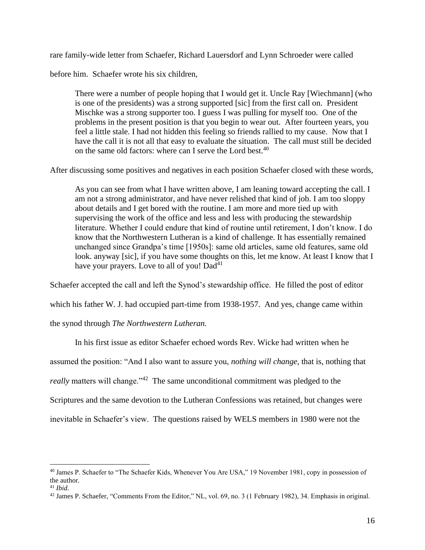rare family-wide letter from Schaefer, Richard Lauersdorf and Lynn Schroeder were called

before him. Schaefer wrote his six children,

There were a number of people hoping that I would get it. Uncle Ray [Wiechmann] (who is one of the presidents) was a strong supported [sic] from the first call on. President Mischke was a strong supporter too. I guess I was pulling for myself too. One of the problems in the present position is that you begin to wear out. After fourteen years, you feel a little stale. I had not hidden this feeling so friends rallied to my cause. Now that I have the call it is not all that easy to evaluate the situation. The call must still be decided on the same old factors: where can I serve the Lord best.<sup>40</sup>

After discussing some positives and negatives in each position Schaefer closed with these words,

As you can see from what I have written above, I am leaning toward accepting the call. I am not a strong administrator, and have never relished that kind of job. I am too sloppy about details and I get bored with the routine. I am more and more tied up with supervising the work of the office and less and less with producing the stewardship literature. Whether I could endure that kind of routine until retirement, I don't know. I do know that the Northwestern Lutheran is a kind of challenge. It has essentially remained unchanged since Grandpa's time [1950s]: same old articles, same old features, same old look. anyway [sic], if you have some thoughts on this, let me know. At least I know that I have your prayers. Love to all of you! Dad<sup>41</sup>

Schaefer accepted the call and left the Synod's stewardship office. He filled the post of editor which his father W. J. had occupied part-time from 1938-1957. And yes, change came within the synod through *The Northwestern Lutheran.*

In his first issue as editor Schaefer echoed words Rev. Wicke had written when he assumed the position: "And I also want to assure you, *nothing will change,* that is, nothing that really matters will change."<sup>42</sup> The same unconditional commitment was pledged to the Scriptures and the same devotion to the Lutheran Confessions was retained, but changes were inevitable in Schaefer's view. The questions raised by WELS members in 1980 were not the

<sup>40</sup> James P. Schaefer to "The Schaefer Kids, Whenever You Are USA," 19 November 1981, copy in possession of the author.

<sup>41</sup> *Ibid.*

<sup>42</sup> James P. Schaefer, "Comments From the Editor," NL, vol. 69, no. 3 (1 February 1982), 34. Emphasis in original.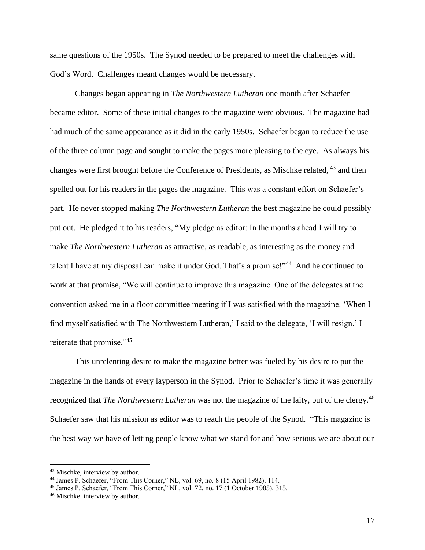same questions of the 1950s. The Synod needed to be prepared to meet the challenges with God's Word. Challenges meant changes would be necessary.

Changes began appearing in *The Northwestern Lutheran* one month after Schaefer became editor. Some of these initial changes to the magazine were obvious. The magazine had had much of the same appearance as it did in the early 1950s. Schaefer began to reduce the use of the three column page and sought to make the pages more pleasing to the eye. As always his changes were first brought before the Conference of Presidents, as Mischke related, <sup>43</sup> and then spelled out for his readers in the pages the magazine. This was a constant effort on Schaefer's part. He never stopped making *The Northwestern Lutheran* the best magazine he could possibly put out. He pledged it to his readers, "My pledge as editor: In the months ahead I will try to make *The Northwestern Lutheran* as attractive, as readable, as interesting as the money and talent I have at my disposal can make it under God. That's a promise!"<sup>44</sup> And he continued to work at that promise, "We will continue to improve this magazine. One of the delegates at the convention asked me in a floor committee meeting if I was satisfied with the magazine. 'When I find myself satisfied with The Northwestern Lutheran,' I said to the delegate, 'I will resign.' I reiterate that promise."<sup>45</sup>

This unrelenting desire to make the magazine better was fueled by his desire to put the magazine in the hands of every layperson in the Synod. Prior to Schaefer's time it was generally recognized that *The Northwestern Lutheran* was not the magazine of the laity, but of the clergy.<sup>46</sup> Schaefer saw that his mission as editor was to reach the people of the Synod. "This magazine is the best way we have of letting people know what we stand for and how serious we are about our

<sup>43</sup> Mischke, interview by author.

<sup>44</sup> James P. Schaefer, "From This Corner," NL, vol. 69, no. 8 (15 April 1982), 114.

<sup>45</sup> James P. Schaefer, "From This Corner," NL, vol. 72, no. 17 (1 October 1985), 315.

<sup>46</sup> Mischke, interview by author.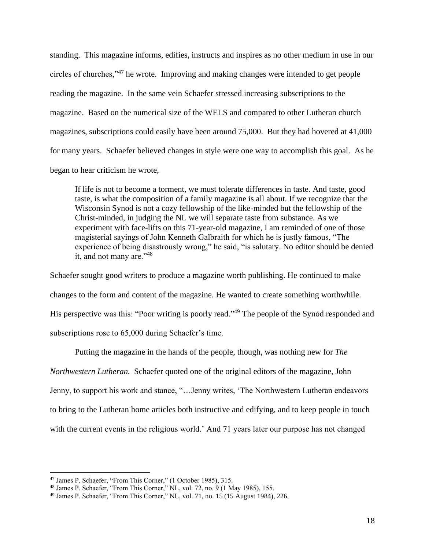standing. This magazine informs, edifies, instructs and inspires as no other medium in use in our circles of churches,"<sup>47</sup> he wrote. Improving and making changes were intended to get people reading the magazine. In the same vein Schaefer stressed increasing subscriptions to the magazine. Based on the numerical size of the WELS and compared to other Lutheran church magazines, subscriptions could easily have been around 75,000. But they had hovered at 41,000 for many years. Schaefer believed changes in style were one way to accomplish this goal. As he began to hear criticism he wrote,

If life is not to become a torment, we must tolerate differences in taste. And taste, good taste, is what the composition of a family magazine is all about. If we recognize that the Wisconsin Synod is not a cozy fellowship of the like-minded but the fellowship of the Christ-minded, in judging the NL we will separate taste from substance. As we experiment with face-lifts on this 71-year-old magazine, I am reminded of one of those magisterial sayings of John Kenneth Galbraith for which he is justly famous, "The experience of being disastrously wrong," he said, "is salutary. No editor should be denied it, and not many are."<sup>48</sup>

Schaefer sought good writers to produce a magazine worth publishing. He continued to make changes to the form and content of the magazine. He wanted to create something worthwhile. His perspective was this: "Poor writing is poorly read."<sup>49</sup> The people of the Synod responded and subscriptions rose to 65,000 during Schaefer's time.

Putting the magazine in the hands of the people, though, was nothing new for *The Northwestern Lutheran.* Schaefer quoted one of the original editors of the magazine, John Jenny, to support his work and stance, "…Jenny writes, 'The Northwestern Lutheran endeavors to bring to the Lutheran home articles both instructive and edifying, and to keep people in touch with the current events in the religious world.' And 71 years later our purpose has not changed

<sup>47</sup> James P. Schaefer, "From This Corner," (1 October 1985), 315.

<sup>48</sup> James P. Schaefer, "From This Corner," NL, vol. 72, no. 9 (1 May 1985), 155.

<sup>49</sup> James P. Schaefer, "From This Corner," NL, vol. 71, no. 15 (15 August 1984), 226.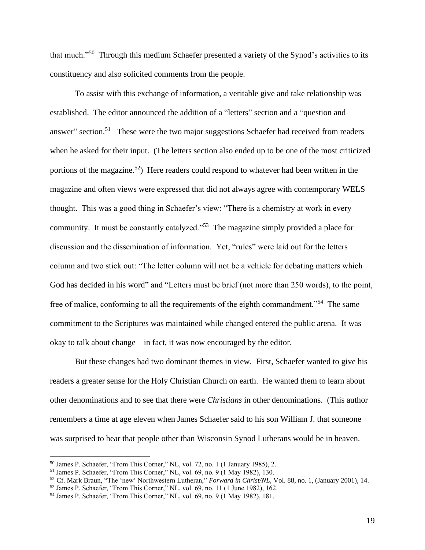that much."<sup>50</sup> Through this medium Schaefer presented a variety of the Synod's activities to its constituency and also solicited comments from the people.

To assist with this exchange of information, a veritable give and take relationship was established. The editor announced the addition of a "letters" section and a "question and answer" section.<sup>51</sup> These were the two major suggestions Schaefer had received from readers when he asked for their input. (The letters section also ended up to be one of the most criticized portions of the magazine.<sup>52</sup>) Here readers could respond to whatever had been written in the magazine and often views were expressed that did not always agree with contemporary WELS thought. This was a good thing in Schaefer's view: "There is a chemistry at work in every community. It must be constantly catalyzed."<sup>53</sup> The magazine simply provided a place for discussion and the dissemination of information. Yet, "rules" were laid out for the letters column and two stick out: "The letter column will not be a vehicle for debating matters which God has decided in his word" and "Letters must be brief (not more than 250 words), to the point, free of malice, conforming to all the requirements of the eighth commandment."<sup>54</sup> The same commitment to the Scriptures was maintained while changed entered the public arena. It was okay to talk about change—in fact, it was now encouraged by the editor.

But these changes had two dominant themes in view. First, Schaefer wanted to give his readers a greater sense for the Holy Christian Church on earth. He wanted them to learn about other denominations and to see that there were *Christians* in other denominations. (This author remembers a time at age eleven when James Schaefer said to his son William J. that someone was surprised to hear that people other than Wisconsin Synod Lutherans would be in heaven.

<sup>50</sup> James P. Schaefer, "From This Corner," NL, vol. 72, no. 1 (1 January 1985), 2.

<sup>51</sup> James P. Schaefer, "From This Corner," NL, vol. 69, no. 9 (1 May 1982), 130.

<sup>52</sup> Cf. Mark Braun, "The 'new' Northwestern Lutheran," *Forward in Christ/NL*, Vol. 88, no. 1, (January 2001), 14.

<sup>53</sup> James P. Schaefer, "From This Corner," NL, vol. 69, no. 11 (1 June 1982), 162.

<sup>54</sup> James P. Schaefer, "From This Corner," NL, vol. 69, no. 9 (1 May 1982), 181.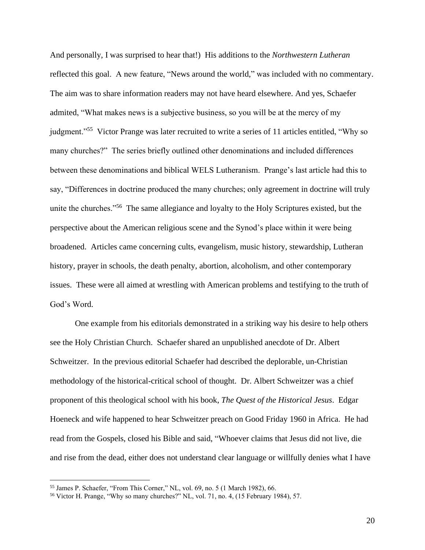And personally, I was surprised to hear that!) His additions to the *Northwestern Lutheran*  reflected this goal. A new feature, "News around the world," was included with no commentary. The aim was to share information readers may not have heard elsewhere. And yes, Schaefer admited, "What makes news is a subjective business, so you will be at the mercy of my judgment."<sup>55</sup> Victor Prange was later recruited to write a series of 11 articles entitled, "Why so many churches?" The series briefly outlined other denominations and included differences between these denominations and biblical WELS Lutheranism. Prange's last article had this to say, "Differences in doctrine produced the many churches; only agreement in doctrine will truly unite the churches."<sup>56</sup> The same allegiance and loyalty to the Holy Scriptures existed, but the perspective about the American religious scene and the Synod's place within it were being broadened. Articles came concerning cults, evangelism, music history, stewardship, Lutheran history, prayer in schools, the death penalty, abortion, alcoholism, and other contemporary issues. These were all aimed at wrestling with American problems and testifying to the truth of God's Word.

One example from his editorials demonstrated in a striking way his desire to help others see the Holy Christian Church. Schaefer shared an unpublished anecdote of Dr. Albert Schweitzer. In the previous editorial Schaefer had described the deplorable, un-Christian methodology of the historical-critical school of thought. Dr. Albert Schweitzer was a chief proponent of this theological school with his book, *The Quest of the Historical Jesus*. Edgar Hoeneck and wife happened to hear Schweitzer preach on Good Friday 1960 in Africa. He had read from the Gospels, closed his Bible and said, "Whoever claims that Jesus did not live, die and rise from the dead, either does not understand clear language or willfully denies what I have

<sup>55</sup> James P. Schaefer, "From This Corner," NL, vol. 69, no. 5 (1 March 1982), 66.

<sup>56</sup> Victor H. Prange, "Why so many churches?" NL, vol. 71, no. 4, (15 February 1984), 57.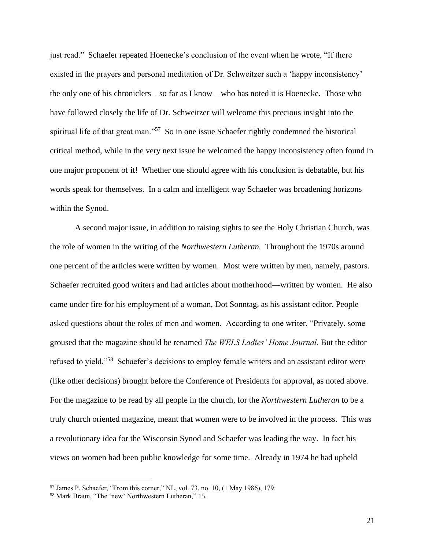just read." Schaefer repeated Hoenecke's conclusion of the event when he wrote, "If there existed in the prayers and personal meditation of Dr. Schweitzer such a 'happy inconsistency' the only one of his chroniclers – so far as I know – who has noted it is Hoenecke. Those who have followed closely the life of Dr. Schweitzer will welcome this precious insight into the spiritual life of that great man."<sup>57</sup> So in one issue Schaefer rightly condemned the historical critical method, while in the very next issue he welcomed the happy inconsistency often found in one major proponent of it! Whether one should agree with his conclusion is debatable, but his words speak for themselves. In a calm and intelligent way Schaefer was broadening horizons within the Synod.

A second major issue, in addition to raising sights to see the Holy Christian Church, was the role of women in the writing of the *Northwestern Lutheran.* Throughout the 1970s around one percent of the articles were written by women. Most were written by men, namely, pastors. Schaefer recruited good writers and had articles about motherhood—written by women. He also came under fire for his employment of a woman, Dot Sonntag, as his assistant editor. People asked questions about the roles of men and women. According to one writer, "Privately, some groused that the magazine should be renamed *The WELS Ladies' Home Journal.* But the editor refused to yield."<sup>58</sup> Schaefer's decisions to employ female writers and an assistant editor were (like other decisions) brought before the Conference of Presidents for approval, as noted above. For the magazine to be read by all people in the church, for the *Northwestern Lutheran* to be a truly church oriented magazine, meant that women were to be involved in the process. This was a revolutionary idea for the Wisconsin Synod and Schaefer was leading the way. In fact his views on women had been public knowledge for some time. Already in 1974 he had upheld

<sup>57</sup> James P. Schaefer, "From this corner," NL, vol. 73, no. 10, (1 May 1986), 179.

<sup>58</sup> Mark Braun, "The 'new' Northwestern Lutheran," 15.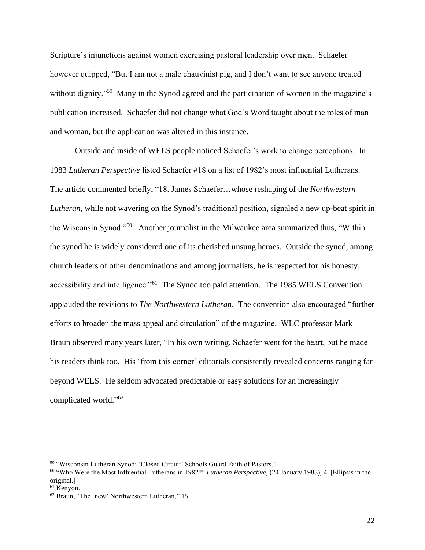Scripture's injunctions against women exercising pastoral leadership over men. Schaefer however quipped, "But I am not a male chauvinist pig, and I don't want to see anyone treated without dignity."<sup>59</sup> Many in the Synod agreed and the participation of women in the magazine's publication increased. Schaefer did not change what God's Word taught about the roles of man and woman, but the application was altered in this instance.

Outside and inside of WELS people noticed Schaefer's work to change perceptions. In 1983 *Lutheran Perspective* listed Schaefer #18 on a list of 1982's most influential Lutherans. The article commented briefly, "18. James Schaefer…whose reshaping of the *Northwestern Lutheran,* while not wavering on the Synod's traditional position, signaled a new up-beat spirit in the Wisconsin Synod."<sup>60</sup> Another journalist in the Milwaukee area summarized thus, "Within the synod he is widely considered one of its cherished unsung heroes. Outside the synod, among church leaders of other denominations and among journalists, he is respected for his honesty, accessibility and intelligence."<sup>61</sup> The Synod too paid attention. The 1985 WELS Convention applauded the revisions to *The Northwestern Lutheran*. The convention also encouraged "further efforts to broaden the mass appeal and circulation" of the magazine. WLC professor Mark Braun observed many years later, "In his own writing, Schaefer went for the heart, but he made his readers think too. His 'from this corner' editorials consistently revealed concerns ranging far beyond WELS. He seldom advocated predictable or easy solutions for an increasingly complicated world." 62

<sup>59</sup> "Wisconsin Lutheran Synod: 'Closed Circuit' Schools Guard Faith of Pastors."

<sup>60</sup> "Who Were the Most Influential Lutherans in 1982?" *Lutheran Perspective*, (24 January 1983), 4. [Ellipsis in the original.]

<sup>61</sup> Kenyon.

<sup>62</sup> Braun, "The 'new' Northwestern Lutheran," 15.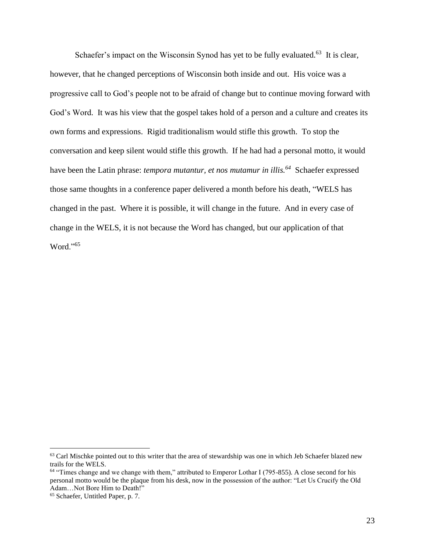Schaefer's impact on the Wisconsin Synod has yet to be fully evaluated.<sup>63</sup> It is clear, however, that he changed perceptions of Wisconsin both inside and out. His voice was a progressive call to God's people not to be afraid of change but to continue moving forward with God's Word. It was his view that the gospel takes hold of a person and a culture and creates its own forms and expressions. Rigid traditionalism would stifle this growth. To stop the conversation and keep silent would stifle this growth. If he had had a personal motto, it would have been the Latin phrase: *tempora mutantur, et nos mutamur in illis.<sup>64</sup>* Schaefer expressed those same thoughts in a conference paper delivered a month before his death, "WELS has changed in the past. Where it is possible, it will change in the future. And in every case of change in the WELS, it is not because the Word has changed, but our application of that Word."<sup>65</sup>

<sup>&</sup>lt;sup>63</sup> Carl Mischke pointed out to this writer that the area of stewardship was one in which Jeb Schaefer blazed new trails for the WELS.

<sup>64</sup> "Times change and we change with them," attributed to Emperor Lothar I (795-855). A close second for his personal motto would be the plaque from his desk, now in the possession of the author: "Let Us Crucify the Old Adam…Not Bore Him to Death!"

<sup>65</sup> Schaefer, Untitled Paper, p. 7.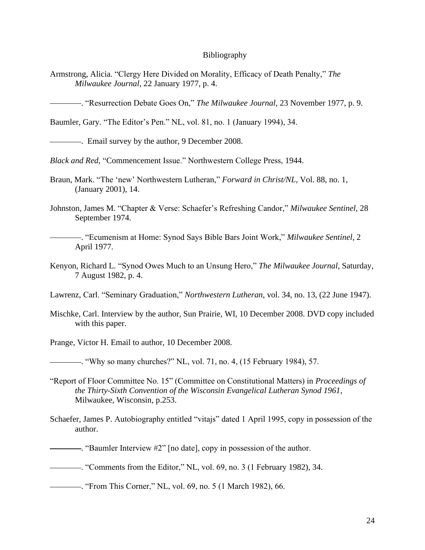## Bibliography

- Armstrong, Alicia. "Clergy Here Divided on Morality, Efficacy of Death Penalty," *The Milwaukee Journal*, 22 January 1977, p. 4.
- . "Resurrection Debate Goes On," *The Milwaukee Journal*, 23 November 1977, p. 9.

Baumler, Gary. "The Editor's Pen." NL, vol. 81, no. 1 (January 1994), 34.

. Email survey by the author, 9 December 2008.

*Black and Red*, "Commencement Issue." Northwestern College Press, 1944.

- Braun, Mark. "The 'new' Northwestern Lutheran," *Forward in Christ/NL*, Vol. 88, no. 1, (January 2001), 14.
- Johnston, James M. "Chapter & Verse: Schaefer's Refreshing Candor," *Milwaukee Sentinel,* 28 September 1974.
	- . "Ecumenism at Home: Synod Says Bible Bars Joint Work," *Milwaukee Sentinel*, 2 April 1977.
- Kenyon, Richard L. "Synod Owes Much to an Unsung Hero," *The Milwaukee Journal*, Saturday, 7 August 1982, p. 4.

Lawrenz, Carl. "Seminary Graduation," *Northwestern Lutheran*, vol. 34, no. 13, (22 June 1947).

Mischke, Carl. Interview by the author, Sun Prairie, WI, 10 December 2008. DVD copy included with this paper.

Prange, Victor H. Email to author, 10 December 2008.

. "Why so many churches?" NL, vol. 71, no. 4, (15 February 1984), 57.

- "Report of Floor Committee No. 15" (Committee on Constitutional Matters) in *Proceedings of the Thirty-Sixth Convention of the Wisconsin Evangelical Lutheran Synod 1961,* Milwaukee, Wisconsin, p.253.
- Schaefer, James P. Autobiography entitled "vitajs" dated 1 April 1995, copy in possession of the author.

. "Baumler Interview #2" [no date], copy in possession of the author.

. "Comments from the Editor," NL, vol. 69, no. 3 (1 February 1982), 34.

. "From This Corner," NL, vol. 69, no. 5 (1 March 1982), 66.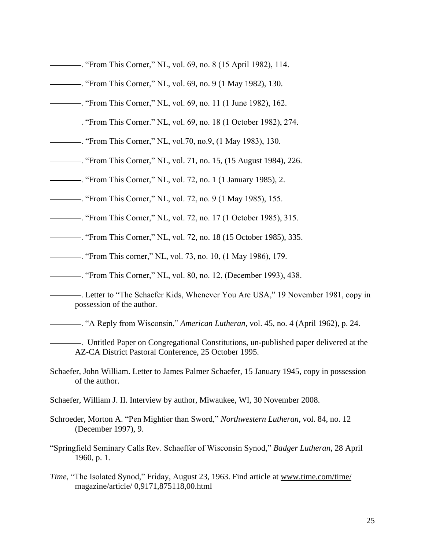- . "From This Corner," NL, vol. 69, no. 8 (15 April 1982), 114.
- . "From This Corner," NL, vol. 69, no. 9 (1 May 1982), 130.
- . "From This Corner," NL, vol. 69, no. 11 (1 June 1982), 162.
- . "From This Corner." NL, vol. 69, no. 18 (1 October 1982), 274.
- . "From This Corner," NL, vol.70, no.9, (1 May 1983), 130.
- . "From This Corner," NL, vol. 71, no. 15, (15 August 1984), 226.
- . "From This Corner," NL, vol. 72, no. 1 (1 January 1985), 2.
- . "From This Corner," NL, vol. 72, no. 9 (1 May 1985), 155.
- . "From This Corner," NL, vol. 72, no. 17 (1 October 1985), 315.
- . "From This Corner," NL, vol. 72, no. 18 (15 October 1985), 335.
- . "From This corner," NL, vol. 73, no. 10, (1 May 1986), 179.
- . "From This Corner," NL, vol. 80, no. 12, (December 1993), 438.
- . Letter to "The Schaefer Kids, Whenever You Are USA," 19 November 1981, copy in possession of the author.

. "A Reply from Wisconsin," *American Lutheran*, vol. 45, no. 4 (April 1962), p. 24.

- . Untitled Paper on Congregational Constitutions, un-published paper delivered at the AZ-CA District Pastoral Conference, 25 October 1995.
- Schaefer, John William. Letter to James Palmer Schaefer, 15 January 1945, copy in possession of the author.
- Schaefer, William J. II. Interview by author, Miwaukee, WI, 30 November 2008.
- Schroeder, Morton A. "Pen Mightier than Sword," *Northwestern Lutheran,* vol. 84, no. 12 (December 1997), 9.
- "Springfield Seminary Calls Rev. Schaeffer of Wisconsin Synod," *Badger Lutheran*, 28 April 1960, p. 1.
- *Time,* "The Isolated Synod," Friday, August 23, 1963. Find article at www.time.com/time/ magazine/article/ 0,9171,875118,00.html